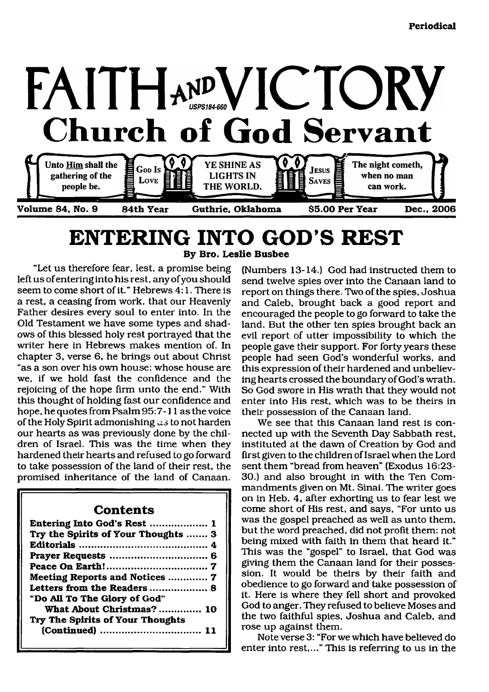

# <span id="page-0-0"></span>**ENTERING INTO GOD'S REST**

**By Bro. Leslie Busbee**

"Let us therefore fear, lest, a promise being left us of entering into his rest, any of you should seem to come short of it." Hebrews 4:1. There is a rest, a ceasing from work, that our Heavenly Father desires every soul to enter into. In the Old Testament we have some types and shadows of this blessed holy rest portrayed that the writer here in Hebrews makes mention of. In chapter 3, verse 6, he brings out about Christ "as a son over his own house; whose house are we, if we hold fast the confidence and the rejoicing of the hope firm unto the end." With this thought of holding fast our confidence and hope, he quotes from Psalm 95:7-11 as the voice of the Holy Spirit admonishing us to not harden our hearts as was previously done by the children of Israel. This was the time when they hardened their hearts and refused to go forward to take possession of the land of their rest, the promised inheritance of the land of Canaan.

### **Contents**

| Entering Into God's Rest  1             |
|-----------------------------------------|
| Try the Spirits of Your Thoughts  3     |
|                                         |
|                                         |
|                                         |
| Meeting Reports and Notices  7          |
| Letters from the Readers  8             |
| "Do All To The Glory of God"            |
| What About Christmas?  10               |
| <b>Try The Spirits of Your Thoughts</b> |
|                                         |

(Numbers 13-14.) God had instructed them to send twelve spies over into the Canaan land to report on things there. Two of the spies, Joshua and Caleb, brought back a good report and encouraged the people to go forward to take the land. But the other ten spies brought back an evil report of utter impossibility to which the people gave their support. For forty years these people had seen God's wonderful works, and this expression of their hardened and unbelieving hearts crossed the boundary of God's wrath. So God swore in His wrath that they would not enter into His rest, which was to be theirs in their possession of the Canaan land.

We see that this Canaan land rest is connected up with the Seventh Day Sabbath rest, instituted at the dawn of Creation by God and first given to the children of Israel when the Lord sent them "bread from heaven" (Exodus 16:23- 30.) and also brought in with the Ten Commandments given on Mt. Sinai. The writer goes on in Heb. 4, after exhorting us to fear lest we come short of His rest, and says, "For unto us was the gospel preached as well as unto them, but the word preached, did not profit them: not being mixed with faith in them that heard it." This was the "gospel" to Israel, that God was giving them the Canaan land for their possession. It would be theirs by their faith and obedience to go forward and take possession of it. Here is where they fell short and provoked God to anger. They refused to believe Moses and the two faithful spies, Joshua and Caleb, and rose up against them.

Note verse 3: "For we which have believed do enter into rest,..." This is referring to us in the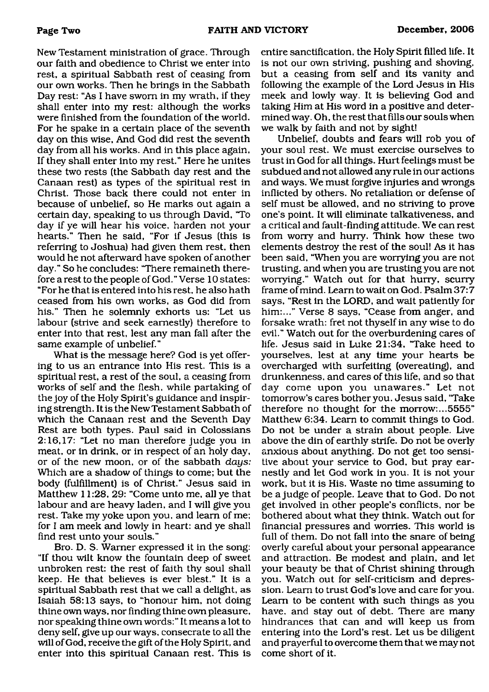New Testament ministration of grace. Through our faith and obedience to Christ we enter into rest, a spiritual Sabbath rest of ceasing from our own works. Then he brings in the Sabbath Day rest: "As I have sworn in my wrath, if they shall enter into my rest: although the works were finished from the foundation of the world. For he spake in a certain place of the seventh day on this wise, And God did rest the seventh day from all his works. And in this place again, If they shall enter into my rest." Here he unites these two rests (the Sabbath day rest and the Canaan rest) as types of the spiritual rest in Christ. Those back there could not enter in because of unbelief, so He marks out again a certain day, speaking to us through David, "To day if ye will hear his voice, harden not your hearts." Then he said, "For if Jesus (this is referring to Joshua) had given them rest, then would he not afterward have spoken of another day." So he concludes: "There remaineth therefore a rest to the people of God." Verse 10 states: "For he that is entered into his rest, he also hath ceased from his own works, as God did from his." Then he solemnly exhorts us: "Let us labour (strive and seek earnestly) therefore to enter into that rest, lest any man fall after the same example of unbelief."

What is the message here? God is yet offering to us an entrance into His rest. This is a spiritual rest, a rest of the soul, a ceasing from works of self and the flesh, while partaking of the joy of the Holy Spirit's guidance and inspiring strength. It is the New Testament Sabbath of which the Canaan rest and the Seventh Day Rest are both types. Paul said in Colossians 2:16,17: "Let no man therefore judge you in meat, or in drink, or in respect of an holy day, or of the new moon, or of the sabbath *days:* Which are a shadow of things to come; but the body (fulfillment) is of Christ." Jesus said in Matthew 11:28, 29: "Come unto me, all ye that labour and are heavy laden, and I will give you rest. Take my yoke upon you, and learn of me; for I am meek and lowly in heart: and ye shall find rest unto your souls."

Bro. D. S. Warner expressed it in the song: "If thou wilt know the fountain deep of sweet unbroken rest: the rest of faith thy soul shall keep. He that believes is ever blest." It is a spiritual Sabbath rest that we call a delight, as Isaiah 58:13 says, to "honour him, not doing thine own ways, nor finding thine own pleasure, nor speaking thine own words:" It means a lot to deny self, give up our ways, consecrate to all the will of God, receive the gift of the Holy Spirit, and enter into this spiritual Canaan rest. This is

entire sanctification, the Holy Spirit filled life. It is not our own striving, pushing and shoving, but a ceasing from self and its vanity and following the example of the Lord Jesus in His meek and lowly way. It is believing God and taking Him at His word in a positive and determined way. Oh, the rest that fills our souls when we walk by faith and not by sight!

Unbelief, doubts and fears will rob you of your soul rest. We must exercise ourselves to trust in God for all things. Hurt feelings must be subdued and not allowed any rule in our actions and ways. We must forgive injuries and wrongs inflicted by others. No retaliation or defense of self must be allowed, and no striving to prove one's point. It will eliminate talkativeness, and a critical and fault-finding attitude. We can rest from worry and hurry. Think how these two elements destroy the rest of the soul! As it has been said, "When you are worrying you are not trusting, and when you are trusting you are not worrying." Watch out for that hurry, scurry frame of mind. Learn to wait on God. Psalm 37:7 says, "Rest in the LORD, and wait patiently for him:..." Verse 8 says, "Cease from anger, and forsake wrath: fret not thyself in any wise to do evil." Watch out for the overburdening cares of life. Jesus said in Luke 21:34, "Take heed to yourselves, lest at any time your hearts be overcharged with surfeiting (overeating), and drunkenness, and cares of this life, and so that day come upon you unawares." Let not tomorrow's cares bother you. Jesus said, 'Take therefore no thought for the morrow:...5555" Matthew 6:34. Learn to commit things to God. Do not be under a strain about people. Live above the din of earthly strife. Do not be overly anxious about anything. Do not get too sensitive about your service to God, but pray earnestly and let God work in you. It is not your work, but it is His. Waste no time assuming to be a judge of people. Leave that to God. Do not get involved in other people's conflicts, nor be bothered about what they think. Watch out for financial pressures and worries. This world is full of them. Do not fall into the snare of being overly careful about your personal appearance and attraction. Be modest and plain, and let your beauty be that of Christ shining through you. Watch out for self-criticism and depression. Learn to trust God's love and care for you. Learn to be content with such things as you have, and stay out of debt. There are many hindrances that can and will keep us from entering into the Lord's rest. Let us be diligent and prayerful to overcome them that we may not come short of it.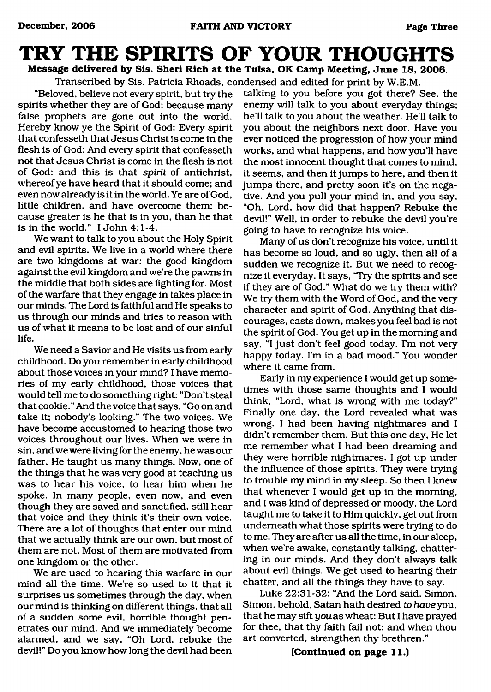## <span id="page-2-0"></span>**TRY THE SPIRITS OF YOUR THOUGHTS Message delivered by Sis. Sheri Rich at the Tulsa, OK Camp Meeting, June 18, 2006.**

Transcribed by Sis. Patricia Rhoads, condensed and edited for print by W.E.M.

"Beloved, believe not every spirit, but try the spirits whether they are of God: because many false prophets are gone out into the world. Hereby know ye the Spirit of God: Every spirit that confesseth that Jesus Christ is come in the flesh is of God: And every spirit that confesseth not that Jesus Christ is come in the flesh is not of God: and this is that *spirit* of antichrist, whereof ye have heard that it should come; and even now already is it in the world. Ye are of God, little children, and have overcome them: because greater is he that is in you, than he that is in the world." I John 4:1-4.

We want to talk to you about the Holy Spirit and evil spirits. We live in a world where there are two kingdoms at war: the good kingdom against the evil kingdom and we're the pawns in the middle that both sides are fighting for. Most of the warfare that they engage in takes place in our minds. The Lord is faithful and He speaks to us through our minds and tries to reason with us of what it means to be lost and of our sinful life.

We need a Savior and He visits us from early childhood. Do you remember in early childhood about those voices in your mind? I have memories of my early childhood, those voices that would tell me to do something right: "Don't steal that cookie." And the voice that says, "Go on and take it; nobody's looking." The two voices. We have become accustomed to hearing those two voices throughout our lives. When we were in sin, and we were living for the enemy, he was our father. He taught us many things. Now, one of the things that he was very good at teaching us was to hear his voice, to hear him when he spoke. In many people, even now, and even though they are saved and sanctified, still hear that voice and they think it's their own voice. There are a lot of thoughts that enter our mind that we actually think are our own, but most of them are not. Most of them are motivated from one kingdom or the other.

We are used to hearing this warfare in our mind all the time. We're so used to it that it surprises us sometimes through the day, when our mind is thinking on different things, that all of a sudden some evil, horrible thought penetrates our mind. And we immediately become alarmed, and we say, "Oh Lord, rebuke the devil!" Do you know how long the devil had been

talking to you before you got there? See, the enemy will talk to you about everyday things; he'll talk to you about the weather. He'll talk to you about the neighbors next door. Have you ever noticed the progression of how your mind works, and what happens, and how you'll have the most innocent thought that comes to mind, it seems, and then it jumps to here, and then it jumps there, and pretty soon it's on the negative. And you pull your mind in, and you say, "Oh, Lord, how did that happen? Rebuke the devil!" Well, in order to rebuke the devil you're going to have to recognize his voice.

Many of us don't recognize his voice, until it has become so loud, and so ugly, then all of a sudden we recognize it. But we need to recognize it everyday. It says, "Try the spirits and see if they are of God." What do we try them with? We try them with the Word of God, and the very character and spirit of God. Anything that discourages, casts down, makes you feel bad is not the spirit of God. You get up in the morning and say, "I just don't feel good today. I'm not very happy today. I'm in a bad mood." You wonder where it came from.

Early in my experience I would get up sometimes with those same thoughts and I would think, "Lord, what is wrong with me today?" Finally one day, the Lord revealed what was wrong. I had been having nightmares and I didn't remember them. But this one day, He let me remember what I had been dreaming and they were horrible nightmares. I got up under the influence of those spirits. They were trying to trouble my mind in my sleep. So then I knew that whenever I would get up in the morning, and I was kind of depressed or moody, the Lord taught me to take it to Him quickly, get out from underneath what those spirits were trying to do to me. They are after us all the time, in our sleep, when we're awake, constantly talking, chattering in our minds. And they don't always talk about evil things. We get used to hearing their chatter, and all the things they have to say.

Luke 22:31-32: "And the Lord said, Simon, Simon, behold, Satan hath desired *to have* you, that he may sift *you* as wheat: But I have prayed for thee, that thy faith fail not: and when thou art converted, strengthen thy brethren."

#### **(Continued on page 11.)**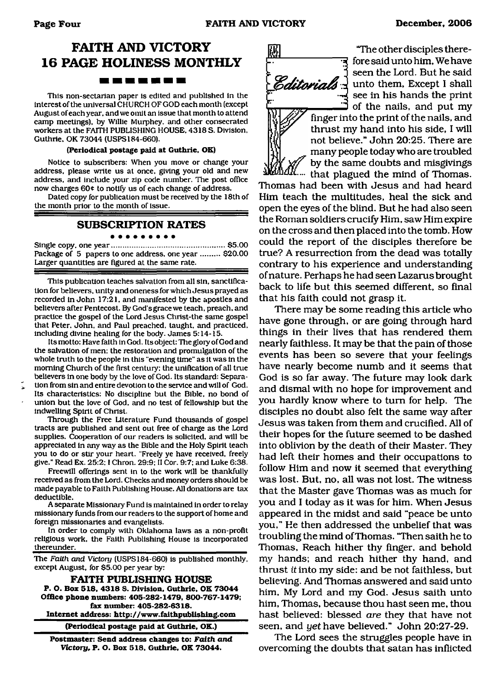## **FAITH AND VICTORY 16 PAGE HOLINESS MONTHLY**

### -------

This non-sectarian paper is edited and published in the interest of the universal CHURCH OF GOD each month (except August of each year, and we omit an issue that month to attend camp meetings), by Willie Murphey. and other consecrated workers at the FAITH PUBLISHING HOUSE, 4318 S. Division, Guthrie. OK 73044 (USPS184-660).

#### **(Periodical postage paid at Guthrie, OK)**

Notice to subscribers: When you move or change your address, please write us at once, giving your old and new address, and include your zip code number. The post office now charges  $60¢$  to notify us of each change of address.

Dated copy for publication must be received by the 18th of the month prior to the month of issue.

#### **SUBSCRIPTION RATES** . . . . . . . . .

Single copy, one year..................................................... \$5.00 Package of 5 papers to one address, one year ......... \$20.00 Larger quantities are figured at the same rate.

This publication teaches salvation from all sin, sanctification for believers, unity and oneness for which Jesus prayed as recorded in John 17:21, and manifested by the apostles and believers after Pentecost. By God's grace we teach, preach, and practice the gospel of the Lord Jesus Christ-the same gospel that Peter. John, and Paul preached, taught, and practiced, including divine healing for the body. James 5:14-15.

Its motto: Have faith in God. Its object: The glory of God and the salvation of men: the restoration and promulgation of the whole truth to the people in this "evening time" as it was in the morning Church of the first century: the unification of all true believers in one body by the love of God. Its standard: Separation from sin and entire devotion to the service and will of God. Its characteristics: No discipline but the Bible, no bond of union but the love of God. and no test of fellowship but the indwelling Spirit of Christ.

Through the Free Literature Fund thousands of gospel tracts are published and sent out free of charge as the Lord supplies. Cooperation of our readers is solicited, and will be appreciated in any way as the Bible and the Holy Spirit teach you to do or stir your heart. "Freely ye have received, freely give." Read Ex. 25:2; I Chron. 29:9; II Cor. 9:7; and Luke 6:38.

Freewill offerings sent in to the work will be thankfully received as from the Lord. Checks and money orders should be made payable to Faith Publishing House. All donations are tax deductible.

A separate Missionary Fund is maintained in order to relay missionary funds from our readers to the support of home and foreign missionaries and evangelists.

In order to comply with Oklahoma laws as a non-profit religious work, the Faith Publishing House is incorporated thereunder.

The *Faith and Victory* (USPS 184-660) is published monthly, except August, for \$5.00 per year by:

**FAITH PUBLISHING HOUSE P. O. Box 518, 4318 S. Division. Guthrie. OK 73044 Office phone numbers: 405-282-1479, 800-767-1479; fax number: 405-282-6318. Internet address: <http://www.faithptiblishing.com>**

**(Periodical postage paid at Guthrie, OK.)**

**Postmaster: Send address changes to:** *Faith and Victory,* **P. O. Box 518, Guthrie, OK 73044.**



 $\left[\mathbf{y}\right]$   $\qquad$  "The other disciples there-न्द fore said unto him, We have . seen the Lord. But he said *Editorials*  $\frac{1}{2}$  unto them, Except I shall see in his hands the print of the nails, and put my finger into the print of the nails, and thrust my hand into his side, I will not believe." John 20:25. There are many people today who are troubled by the same doubts and misgivings that plagued the mind of Thomas.

Thomas had been with Jesus and had heard Him teach the multitudes, heal the sick and open the eyes of the blind. But he had also seen the Roman soldiers crucify Him, saw Him expire on the cross and then placed into the tomb. How could the report of the disciples therefore be true? A resurrection from the dead was totally contrary to his experience and understanding of nature. Perhaps he had seen Lazarus brought back to life but this seemed different, so final that his faith could not grasp it.

There may be some reading this article who have gone through, or are going through hard things in their lives that has rendered them nearly faithless. It may be that the pain of those events has been so severe that your feelings have nearly become numb and it seems that God is so far away. The future may look dark and dismal with no hope for improvement and you hardly know where to turn for help. The disciples no doubt also felt the same way after Jesus was taken from them and crucified. All of their hopes for the future seemed to be dashed into oblivion by the death of their Master. They had left their homes and their occupations to follow Him and now it seemed that everything was lost. But, no, all was not lost. The witness that the Master gave Thomas was as much for you and I today as it was for him. When Jesus appeared in the midst and said "peace be unto you," He then addressed the unbelief that was troubling the mind of Thomas. "Then saith he to Thomas, Reach hither thy finger, and behold my hands; and reach hither thy hand, and thrust *it* into my side: and be not faithless, but believing. And Thomas answered and said unto him, My Lord and my God. Jesus saith unto him, Thomas, because thou hast seen me, thou hast believed: blessed *are* they that have not seen, and *yet* have believed." John 20:27-29.

The Lord sees the struggles people have in overcoming the doubts that satan has inflicted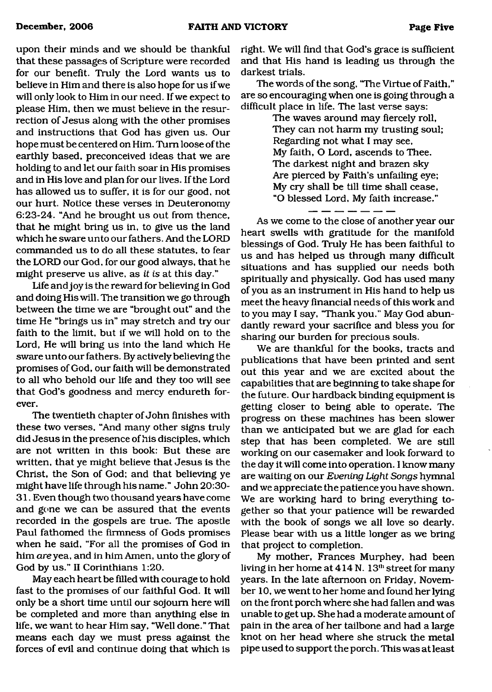upon their minds and we should be thankful that these passages of Scripture were recorded for our benefit. Truly the Lord wants us to believe in Him and there is also hope for us if we will only look to Him in our need. If we expect to please Him, then we must believe in the resurrection of Jesus along with the other promises and instructions that God has given us. Our hope must be centered on Him. Turn loose of the earthly based, preconceived ideas that we are holding to and let our faith soar in His promises and in His love and plan for our lives. If the Lord has allowed us to suffer, it is for our good, not our hurt. Notice these verses in Deuteronomy 6:23-24. "And he brought us out from thence, that he might bring us in, to give us the land which he sware unto our fathers. And the LORD commanded us to do all these statutes, to fear the LORD our God, for our good always, that he might preserve us alive, as *it is* at this day."

Life and joy is the reward for believing in God and doing His will. The transition we go through between the time we are "brought out" and the time He "brings us in" may stretch and try our faith to the limit, but if we will hold on to the Lord, He will bring us into the land which He sware unto our fathers. By actively believing the promises of God, our faith will be demonstrated to all who behold our life and they too will see that God's goodness and mercy endureth forever.

The twentieth chapter of John finishes with these two verses, "And many other signs truly did Jesus in the presence of his disciples, which are not written in this book: But these are written, that ye might believe that Jesus is the Christ, the Son of God; and that believing ye might have life through his name." John 20:30- 31. Even though two thousand years have come and gone we can be assured that the events recorded in the gospels are true. The apostle Paul fathomed the firmness of Gods promises when he said, "For all the promises of God in him *are* yea, and in him Amen, unto the glory of God by us." II Corinthians 1:20.

May each heart be filled with courage to hold fast to the promises of our faithful God. It will only be a short time until our sojourn here will be completed and more than anything else in life, we want to hear Him say, "Well done." That means each day we must press against the forces of evil and continue doing that which is

right. We will find that God's grace is sufficient and that His hand is leading us through the darkest trials.

The words of the song, "The Virtue of Faith," are so encouraging when one is going through a difficult place in life. The last verse says:

> The waves around may fiercely roll, They can not harm my trusting soul; Regarding not what I may see. My faith, O Lord, ascends to Thee. The darkest night and brazen sky Are pierced by Faith's unfailing eye; My cry shall be till time shall cease, "O blessed Lord, My faith increase."

As we come to the close of another year our heart swells with gratitude for the manifold blessings of God. Truly He has been faithful to us and has helped us through many difficult situations and has supplied our needs both spiritually and physically. God has used many of you as an instrument in His hand to help us meet the heavy financial needs of this work and to you may I say, "Thank you." May God abundantly reward your sacrifice and bless you for sharing our burden for precious souls.

\_ \_\_ \_\_ \_\_ \_\_

We are thankful for the books, tracts and publications that have been printed and sent out this year and we are excited about the capabilities that are beginning to take shape for the future. Our hardback binding equipment is getting closer to being able to operate. The progress on these machines has been slower than we anticipated but we are glad for each step that has been completed. We are still working on our casemaker and look forward to the day it will come into operation. I know many are waiting on our *Evening Light Songs* hymnal and we appreciate the patience you have shown. We are working hard to bring everything together so that your patience will be rewarded with the book of songs we all love so dearly. Please bear with us a little longer as we bring that project to completion.

My mother, Frances Murphey, had been living in her home at  $414$  N.  $13<sup>th</sup>$  street for many years. In the late afternoon on Friday, November 10, we went to her home and found her lying on the front porch where she had fallen and was unable to get up. She had a moderate amount of pain in the area of her tailbone and had a large knot on her head where she struck the metal pipe used to support the porch. This was at least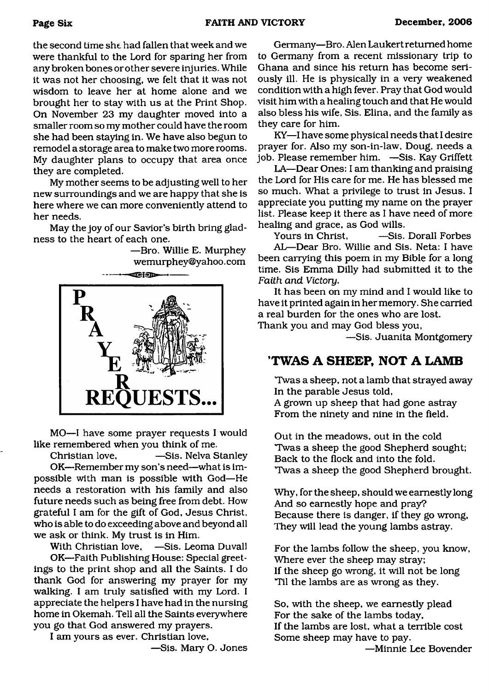the second time she had fallen that week and we were thankful to the Lord for sparing her from any broken bones or other severe injuries. While it was not her choosing, we felt that it was not wisdom to leave her at home alone and we brought her to stay with us at the Print Shop. On November 23 my daughter moved into a smaller room so my mother could have the room she had been staying in. We have also begun to remodel a storage area to make two more rooms. My daughter plans to occupy that area once they are completed.

My mother seems to be adjusting well to her new surroundings and we are happy that she is here where we can more conveniently attend to her needs.

May the joy of our Savior's birth bring gladness to the heart of each one.

> —Bro. Willie E. Murphey wemurphey@yahoo. com



MO—I have some prayer requests I would like remembered when you think of me.

Christian love, —Sis. Nelva Stanley

OK—Remember my son's need—what is impossible with man is possible with God—He needs a restoration with his family and also future needs such as being free from debt. How grateful I am for the gift of God, Jesus Christ, who is able to do exceeding above and beyond all we ask or think. My trust is in Him.

With Christian love, -Sis. Leoma Duvall

OK—Faith Publishing House: Special greetings to the print shop and all the Saints. I do thank God for answering my prayer for my walking. I am truly satisfied with my Lord. I appreciate the helpers I have had in the nursing home in Okemah. Tell all the Saints everywhere you go that God answered my prayers.

I am yours as ever. Christian love,

-Sis. Mary O. Jones

Germany—Bro. Alen Laukert returned home to Germany from a recent missionary trip to Ghana and since his return has become seriously ill. He is physically in a very weakened condition with a high fever. Pray that God would visit him with a healing touch and that He would also bless his wife. Sis. Elina, and the family as they care for him.

KY—I have some physical needs that I desire prayer for. Also my son-in-law, Doug, needs a job. Please remember him. —Sis. Kay Griffett

LA—Dear Ones: I am thanking and praising the Lord for His care for me. He has blessed me so much. What a privilege to trust in Jesus. I appreciate you putting my name on the prayer list. Please keep it there as I have need of more healing and grace, as God wills.<br>Yours in Christ. —Sis.

-Sis. Dorall Forbes AL—Dear Bro. Willie and Sis. Neta: I have been carrying this poem in my Bible for a long time. Sis Emma Dilly had submitted it to the *Faith and Victory.*

It has been on my mind and I would like to have it printed again in her memory. She carried a real burden for the ones who are lost. Thank you and may God bless you,

—Sis. Juanita Montgomery

### **TWAS A SHEEP, NOT A LAMB**

Twas a sheep, not a lamb that strayed away In the parable Jesus told,

A grown up sheep that had gone astray From the ninety and nine in the field.

Out in the meadows, out in the cold Twas a sheep the good Shepherd sought; Back to the flock and into the fold. Twas a sheep the good Shepherd brought.

Why, for the sheep, should we earnestly long And so earnestly hope and pray? Because there is danger, if they go wrong, They will lead the young lambs astray.

For the lambs follow the sheep, you know, Where ever the sheep may stray; If the sheep go wrong, it will not be long Til the lambs are as wrong as they.

So, with the sheep, we earnestly plead For the sake of the lambs today, If the lambs are lost, what a terrible cost Some sheep may have to pay.

—Minnie Lee Bovender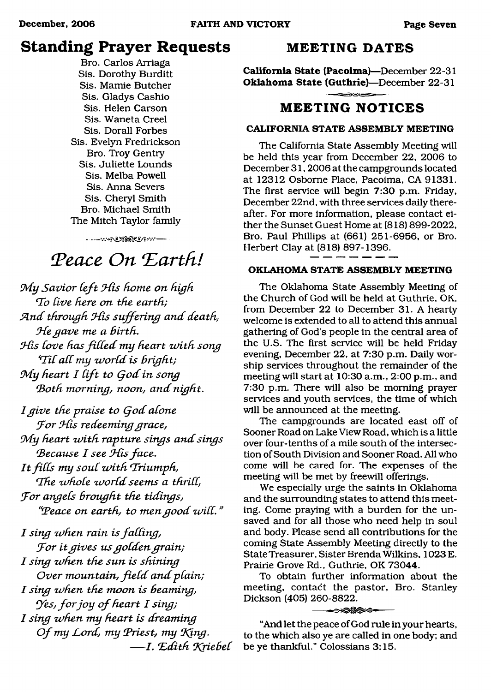## **Standing Prayer Requests**

Bro. Carlos Arriaga Sis. Dorothy Burditt Sis. Mamie Butcher Sis. Gladys Cashio Sis. Helen Carson Sis. Waneta Creel Sis. Dorall Forbes Sis. Evelyn Fredrickson Bro. Troy Gentry Sis. Juliette Lounds Sis. Melba Powell Sis. Anna Severs Sis. Cheryl Smith Bro. Michael Smith The Mitch Taylor family

-----------------------

## <span id="page-6-0"></span>*tVeace On 'Earth!*

*(M y Savior Ceft (His home on high*

*To five here on the earth; SLncC through Shis suffering and death, She gave me a Birth. His love has filled my heart with song 'Til all my world is bright; My heart I lift to God in song (Both morning, noon, and night. I give the praise to God alone For (His redeeming grace, (My heart zvith rapture sings and sings* Because I see His face. *ItfiCCs my souC zvith 'Triumph,* The whole world seems a thrill, For angels brought the tidings, *"(Peace on earth, to men good zi/iCC." I* sing when rain is falling, *For it gives us golden grain; I sing zvhen the sun is shining Over mountain, field and plain; I sing zvhen the moon is Beaming, <u>Yes, for joy of heart I sing;</u> I sing zvhen my heart is dreaming* Of my Lord, my Priest, my King. — *I. Edith 'JQieBeC*

### **MEETING DATES**

**California State (Pacoima)**—December 22-31 **Oklahoma State (Guthrie)**—December 22-31

### المحدد والمسامر **MEETING NOTICES**

### **CALIFORNIA STATE ASSEMBLY MEETING**

The California State Assembly Meeting will be held this year from December 22, 2006 to December 31,2006 at the campgrounds located at 12312 Osborne Place, Pacoima, CA 91331. The first service will begin 7:30 p.m. Friday, December 22nd, with three services daily thereafter. For more information, please contact either the Sunset Guest Home at (818) 899-2022, Bro. Paul Phillips at (661) 251-6956, or Bro. Herbert Clay at (818) 897-1396.

### **OKLAHOMA STATE ASSEMBLY MEETING**

The Oklahoma State Assembly Meeting of the Church of God will be held at Guthrie, OK, from December 22 to December 31. A hearty welcome is extended to all to attend this annual gathering of God's people in the central area of the U.S. The first service will be held Friday evening, December 22, at 7:30 p.m. Daily worship services throughout the remainder of the meeting will start at 10:30 a.m., 2:00 p.m., and 7:30 p.m. There will also be morning prayer services and youth services, the time of which will be announced at the meeting.

The campgrounds are located east off of Sooner Road on Lake View Road, which is a little over four-tenths of a mile south of the intersection of South Division and Sooner Road. All who come will be cared for. The expenses of the meeting will be met by freewill offerings.

We especially urge the saints in Oklahoma and the surrounding states to attend this meeting. Come praying with a burden for the unsaved and for all those who need help in soul and body. Please send all contributions for the coming State Assembly Meeting directly to the State Treasurer, Sister Brenda Wilkins, 1023 E. Prairie Grove Rd., Guthrie, OK 73044.

To obtain further information about the meeting, contact the pastor, Bro. Stanley Dickson (405) 260-8822.

⊷≫▓<del>⊗<-</del>

"And let the peace of God rule in your hearts, to the which also ye are called in one body; and be ye thankful." Colossians 3:15.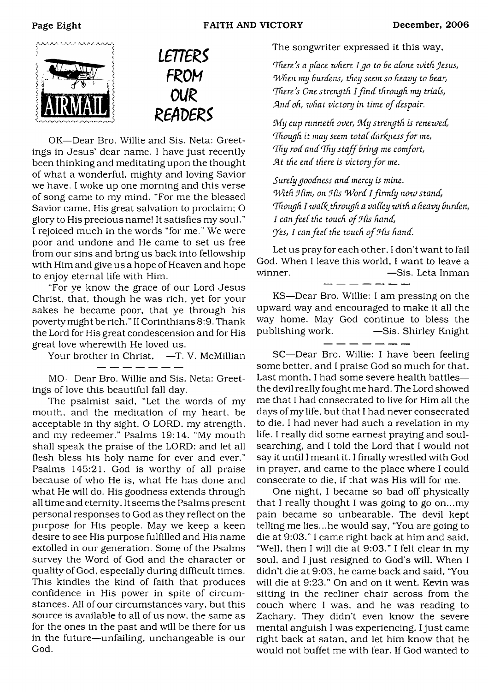



OK—Dear Bro. Willie and Sis. Neta: Greetings in Jesus' dear name. I have just recently been thinking and meditating upon the thought of what a wonderful, mighty and loving Savior we have. I woke up one morning and this verse of song came to my mind. "For me the blessed Savior came. His great salvation to proclaim; O glory to His precious name! It satisfies my soul." I rejoiced much in the words "for me." We were poor and undone and He came to set us free from our sins and bring us back into fellowship with Him and give us a hope of Heaven and hope to enjoy eternal life with Him.

"For ye know the grace of our Lord Jesus Christ, that, though he was rich, yet for your sakes he became poor, that ye through his poverty might be rich." II Corinthians 8:9. Thank the Lord for His great condescension and for His great love wherewith He loved us.<br>Your brother in Christ,  $-$ T. V. McMillian

Your brother in Christ.

MO—Dear Bro. Willie and Sis. Neta: Greetings of love this beautiful fall day.

The psalmist said, "Let the words of my mouth, and the meditation of my heart, be acceptable in thy sight, O LORD, my strength, and my redeemer." Psalms 19:14. "My mouth shall speak the praise of the LORD: and let all flesh bless his holy name for ever and ever." Psalms 145:21. God is worthy of all praise because of who He is, what He has done and what He will do. His goodness extends through all time and eternity. It seems the Psalms present personal responses to God as they reflect on the purpose for His people. May we keep a keen desire to see His purpose fulfilled and His name extolled in our generation. Some of the Psalms survey the Word of God and the character or quality of God, especially during difficult times. This kindles the kind of faith that produces confidence in His power in spite of circumstances. All of our circumstances vary, but this source is available to all of us now, the same as for the ones in the past and will be there for us in the future—unfailing, unchangeable is our God.

The songwriter expressed it this way,

*There's a place where I go to be alone with Jesus, When my Burdens, they seem so heavy to Bear, There's One strength I find through my trials,* And oh, what victory in time of despair.

*'Jvty cup runneth over, 9dy strength is renezved,* Though it may seem total darkness for me, *Thy rod and Thy sta ff Bring me comfort,* At the end there is victory for me.

*Surety goodness and mercy is mine.* With *Him, on His Word I firmly now stand, Though I zvathjthrough a vattey zvith a heavy Burden, I can feel the touch of His hand, Yes, I can feel the touch of His hand.* 

Let us pray for each other, I don't want to fail God. When I leave this world, I want to leave a winner. — — — — Sis. Leta Inman

\_ \_ \_ \_ \_ \_

KS—Dear Bro. Willie: I am pressing on the upward way and encouraged to make it all the way home. May God continue to bless the publishing work. — Sis. Shirley Knight  $\overline{\phantom{a}}$   $\overline{\phantom{a}}$   $\overline{\phantom{a}}$   $\overline{\phantom{a}}$   $\overline{\phantom{a}}$   $\overline{\phantom{a}}$ 

SC—Dear Bro. Willie: I have been feeling some better, and I praise God so much for that. Last month, I had some severe health battles the devil really fought me hard. The Lord showed me that I had consecrated to live for Him all the days of my life, but that I had never consecrated to die. I had never had such a revelation in my life. I really did some earnest praying and soulsearching, and I told the Lord that I would not say it until I meant it. I finally wrestled with God in prayer, and came to the place where I could consecrate to die, if that was His will for me.

One night, I became so bad off physically that I really thought I was going to go on...my pain became so unbearable. The devil kept telling me lies...he would say, "You are going to die at 9:03." I came right back at him and said, "Well, then I will die at 9:03." I felt clear in my soul, and I just resigned to God's will. When I didn't die at 9:03, he came back and said, "You will die at 9:23." On and on it went. Kevin was sitting in the recliner chair across from the couch where I was, and he was reading to Zachary. They didn't even know the severe mental anguish I was experiencing. I just came right back at satan, and let him know that he would not buffet me with fear. If God wanted to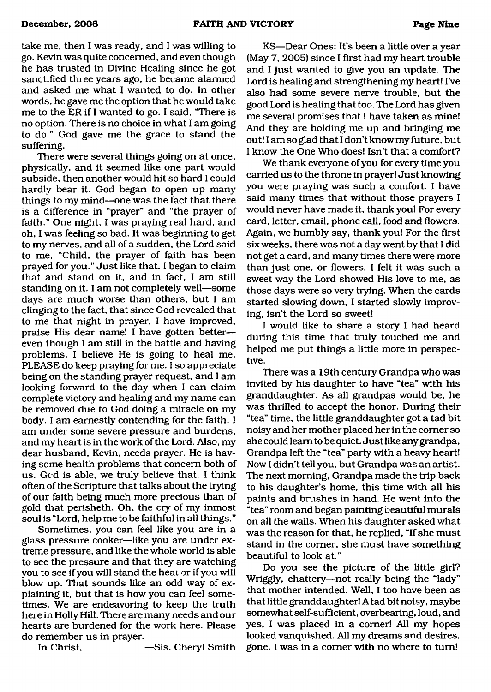take me, then I was ready, and I was willing to go. Kevin was quite concerned, and even though he has trusted in Divine Healing since he got sanctified three years ago, he became alarmed and asked me what I wanted to do. In other words, he gave me the option that he would take me to the ER if I wanted to go. I said, "There is no option. There is no choice in what I am going to do." God gave me the grace to stand the suffering.

There were several things going on at once, physically, and it seemed like one part would subside, then another would hit so hard I could hardly bear it. God began to open up many things to my mind—one was the fact that there is a difference in "prayer" and "the prayer of faith." One night, I was praying real hard, and oh, I was feeling so bad. It was beginning to get to my nerves, and all of a sudden, the Lord said to me, "Child, the prayer of faith has been prayed for you." Just like that. I began to claim that and stand on it, and in fact, I am still standing on it. I am not completely well—some days are much worse than others, but I am clinging to the fact, that since God revealed that to me that night in prayer, I have improved, praise His dear name! I have gotten better even though I am still in the battle and having problems. I believe He is going to heal me. PLEASE do keep praying for me. I so appreciate being on the standing prayer request, and I am looking forward to the day when I can claim complete victory and healing and my name can be removed due to God doing a miracle on my body. I am earnestly contending for the faith. I am under some severe pressure and burdens, and my heart is in the work of the Lord. Also, my dear husband, Kevin, needs prayer. He is having some health problems that concern both of us. Gcd is able, we truly believe that. I think often of the Scripture that talks about the trying of our faith being much more precious than of gold that perisheth. Oh, the cry of my inmost soul is "Lord, help me to be faithful in all things."

Sometimes, you can feel like you are in a glass pressure cooker—like you are under extreme pressure, and like the whole world is able to see the pressure and that they are watching you to see if you will stand the heat or if you will blow up. That sounds like an odd way of explaining it, but that is how you can feel sometimes. We are endeavoring to keep the truth here in Holly Hill. There are many needs and our hearts are burdened for the work here. Please do remember us in prayer.

In Christ, —Sis. Cheryl Smith

KS—Dear Ones: It's been a little over a year (May 7, 2005) since I first had my heart trouble and I just wanted to give you an update. The Lord is healing and strengthening my heart! I've also had some severe nerve trouble, but the good Lord is healing that too. The Lord has given me several promises that I have taken as mine! And they are holding me up and bringing me out! I am so glad that I don't know my future, but I know the One Who does! Isn't that a comfort?

We thank everyone of you for every time you carried us to the throne in prayer! Just knowing you were praying was such a comfort. I have said many times that without those prayers I would never have made it, thank you! For every card, letter, email, phone call, food and flowers. Again, we humbly say, thank you! For the first six weeks, there was not a day went by that I did not get a card, and many times there were more than just one, or flowers. I felt it was such a sweet way the Lord showed His love to me, as those days were so very trying. When the cards started slowing down, I started slowly improving, isn't the Lord so sweet!

I would like to share a story I had heard during this time that truly touched me and helped me put things a little more in perspective.

There was a 19th century Grandpa who was invited by his daughter to have "tea" with his granddaughter. As all grandpas would be, he was thrilled to accept the honor. During their "tea" time, the little granddaughter got a tad bit noisy and her mother placed her in the comer so she could learn to be quiet. Just like any grandpa, Grandpa left the "tea" party with a heavy heart! Now I didn't tell you, but Grandpa was an artist. The next morning, Grandpa made the trip back to his daughter's home, this time with all his paints and brushes in hand. He went into the "tea" room and began painting beautiful murals on all the walls. When his daughter asked what was the reason for that, he replied, "If she must stand in the comer, she must have something beautiful to look at."

Do you see the picture of the little girl? Wriggly, chattery—not really being the "lady" that mother intended. Well, I too have been as that little granddaughter! A tad bit noisy, maybe somewhat self-sufficient, overbearing, loud, and yes, I was placed in a comer! All my hopes looked vanquished. All my dreams and desires, gone. I was in a comer with no where to turn!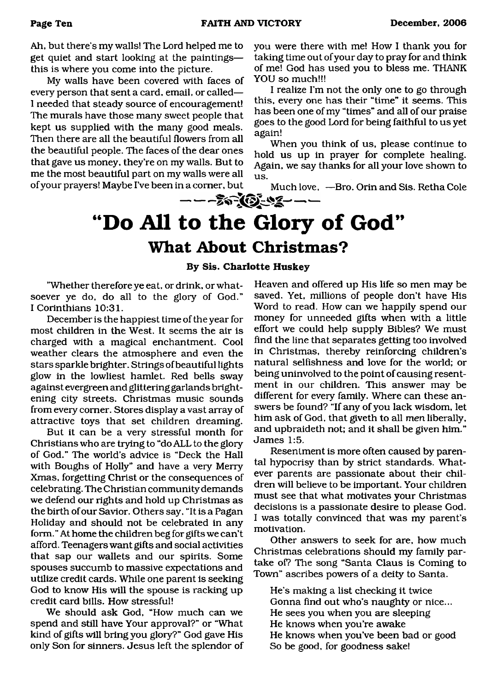Ah, but there's my walls! The Lord helped me to get quiet and start looking at the paintings this is where you come into the picture.

My walls have been covered with faces of every person that sent a card, email, or called— 1 needed that steady source of encouragement! The murals have those many sweet people that kept us supplied with the many good meals. Then there are all the beautiful flowers from all the beautiful people. The faces of the dear ones that gave us money, they're on my walls. But to me the most beautiful part on my walls were all of your prayers! Maybe I've been in a comer, but

you were there with me! How I thank you for taking time out of your day to pray for and think of me! God has used you to bless me. THANK YOU so much!!!

I realize I'm not the only one to go through this, every one has their "time" it seems. This has been one of my "times" and all of our praise goes to the good Lord for being faithful to us yet again!

When you think of us, please continue to hold us up in prayer for complete healing. Again, we say thanks for all your love shown to us.

Much love, —Bro. Orin and Sis. Retha Cole

# <span id="page-9-0"></span> $---\frac{1}{20}\sqrt{\frac{3}{20}}\sqrt{\frac{3}{20}}$ **"Do All to the Glory of God" What About Christmas?**

### **By Sis. Charlotte Huskey**

'Whether therefore ye eat, or drink, or whatsoever ye do, do all to the glory of God." I Corinthians 10:31.

December is the happiest time of the year for most children in the West. It seems the air is charged with a magical enchantment. Cool weather clears the atmosphere and even the stars sparkle brighter. Strings of beautiful lights glow in the lowliest hamlet. Red bells sway against evergreen and glittering garlands brightening city streets. Christmas music sounds from every comer. Stores display a vast array of attractive toys that set children dreaming.

But it can be a very stressful month for Christians who are trying to "do ALL to the glory of God." The world's advice is "Deck the Hall with Boughs of Holly" and have a very Merry Xmas, forgetting Christ or the consequences of celebrating. The Christian community demands we defend our rights and hold up Christmas as the birth of our Savior. Others say, "It is a Pagan Holiday and should not be celebrated in any form." At home the children beg for gifts we can't afford. Teenagers want gifts and social activities that sap our wallets and our spirits. Some spouses succumb to massive expectations and utilize credit cards. While one parent is seeking God to know His will the spouse is racking up credit card bills. How stressful!

We should ask God, "How much can we spend and still have Your approval?" or "What kind of gifts will bring you glory?" God gave His only Son for sinners. Jesus left the splendor of Heaven and offered up His life so men may be saved. Yet, millions of people don't have His Word to read. How can we happily spend our money for unneeded gifts when with a little effort we could help supply Bibles? We must find the line that separates getting too involved in Christmas, thereby reinforcing children's natural selfishness and love for the world; or being uninvolved to the point of causing resentment in our children. This answer may be different for every family. Where can these answers be found? "If any of you lack wisdom, let him ask of God, that giveth to all men liberally, and upbraideth not; and it shall be given him." James 1:5.

Resentment is more often caused by parental hypocrisy than by strict standards. Whatever parents are passionate about their children will believe to be important. Your children must see that what motivates your Christmas decisions is a passionate desire to please God. I was totally convinced that was my parent's motivation.

Other answers to seek for are, how much Christmas celebrations should my family partake of? The song "Santa Claus is Coming to Town" ascribes powers of a deity to Santa.

He's making a list checking it twice Gonna find out who's naughty or nice... He sees you when you are sleeping He knows when you're awake He knows when you've been bad or good So be good, for goodness sake!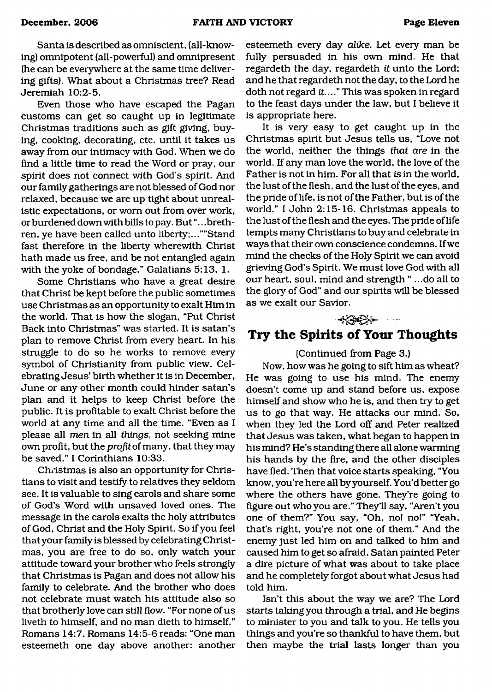Santa is described as omniscient, (all-knowing) omnipotent (all-powerful) and omnipresent (he can be everywhere at the same time delivering gifts). What about a Christmas tree? Read Jeremiah 10:2-5.

Even those who have escaped the Pagan customs can get so caught up in legitimate Christmas traditions such as gift giving, buying, cooking, decorating, etc. until it takes us away from our intimacy with God. When we do find a little time to read the Word or pray, our spirit does not connect with God's spirit. And our family gatherings are not blessed of God nor relaxed, because we are up tight about unrealistic expectations, or worn out from over work, or burdened down with bills to pay. But ".. .brethren, ye have been called unto liberty;...''"Stand fast therefore in the liberty wherewith Christ hath made us free, and be not entangled again with the yoke of bondage." Galatians 5:13, 1.

Some Christians who have a great desire that Christ be kept before the public sometimes use Christmas as an opportunity to exalt Him in the world. That is how the slogan, "Put Christ Back into Christmas" was started. It is satan's plan to remove Christ from every heart. In his struggle to do so he works to remove every symbol of Christianity from public view. Celebrating Jesus' birth whether it is in December, June or any other month could hinder satan's plan and it helps to keep Christ before the public. It is profitable to exalt Christ before the world at any time and all the time. "Even as I please all *men* in all *things,* not seeking mine own profit, but the *profit* of many, that they may be saved." I Corinthians 10:33.

Christmas is also an opportunity for Christians to visit and testify to relatives they seldom see. It is valuable to sing carols and share some of God's Word with unsaved loved ones. The message in the carols exalts the holy attributes of God, Christ and the Holy Spirit. So if you feel that your family is blessed by celebrating Christmas, you are free to do so, only watch your attitude toward your brother who feels strongly that Christmas is Pagan and does not allow his family to celebrate. And the brother who does not celebrate must watch his attitude also so that brotherly love can still flow. "For none of us liveth to himself, and no man dieth to himself." Romans 14:7. Romans 14:5-6 reads: "One man esteemeth one day above another: another esteemeth every day *alike.* Let every man be fully persuaded in his own mind. He that regardeth the day, regardeth *it* unto the Lord; and he that regardeth not the day, to the Lord he doth not regard *it*....'' This was spoken in regard to the feast days under the law, but I believe it is appropriate here.

It is very easy to get caught up in the Christmas spirit but Jesus tells us, "Love not the world, neither the things *that are* in the world. If any man love the world, the love of the Father is not in him. For all that *is* in the world, the lust of the flesh, and the lust of the eyes, and the pride of life, is not of the Father, but is of the world." I John 2:15-16. Christmas appeals to the lust of the flesh and the eyes. The pride of life tempts many Christians to buy and celebrate in ways that their own conscience condemns. If we mind the checks of the Holy Spirit we cam avoid grieving God's Spirit. We must love God with all our heart, soul, mind and strength " ...do all to the glory of God" and our spirits will be blessed as we exalt our Savior.

### -H3»S8'-------

## **Try the Spirits of Your Thoughts**

### (Continued from Page 3.)

Now, how was he going to sift him as wheat? He was going to use his mind. The enemy doesn't come up and stand before us, expose himself and show who he is, and then try to get us to go that way. He attacks our mind. So, when they led the Lord off and Peter realized that Jesus was taken, what began to happen in his mind? He's standing there all alone warming his hands by the fire, and the other disciples have fled. Then that voice starts speaking, "You know, you're here all by yourself. You'd better go where the others have gone. They're going to figure out who you are." They'll say, "Aren't you one of them?" You say, "Oh, no! no!" "Yeah, that's right, you're not one of them." And the enemy just led him on and talked to him and caused him to get so afraid. Satan painted Peter a dire picture of what was about to take place and he completely forgot about what Jesus had told him.

Isn't this about the way we are? The Lord starts taking you through a trial, and He begins to minister to you and talk to you. He tells you things and you're so thankful to have them, but then maybe the trial lasts longer than you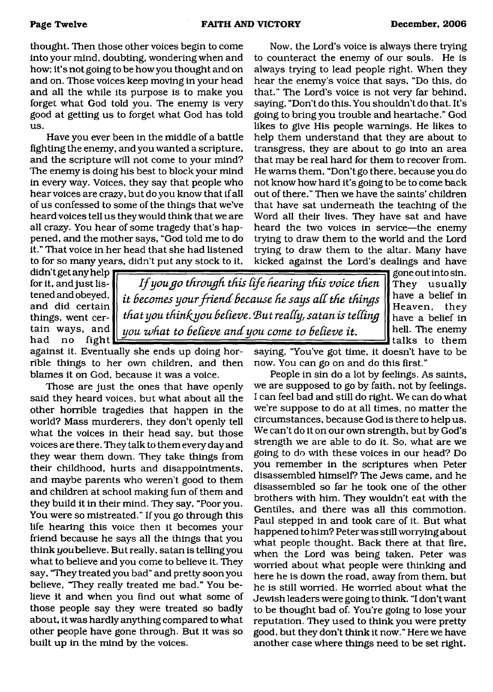gone out into sin. They usually have a belief in Heaven, they have a belief in hell. The enemy talks to them

thought. Then those other voices begin to come into your mind, doubting, wondering when and how; it's not going to be how you thought and on and on. Those voices keep moving in your head and all the while its purpose is to make you forget what God told you. The enemy is very good at getting us to forget what God has told us.

Have you ever been in the middle of a battle fighting the enemy, and you wanted a scripture, and the scripture will not come to your mind? The enemy is doing his best to block your mind in every way. Voices, they say that people who hear voices are crazy, but do you know that if all of us confessed to some of the things that we've heard voices tell us they would think that we are all crazy. You hear of some tragedy that's happened, and the mother says, "God told me to do it." That voice in her head that she had listened to for so many years, didn't put any stock to it,

Now, the Lord's voice is always there trying to counteract the enemy of our souls. He is always trying to lead people right. When they hear the enemy's voice that says, "Do this, do that." The Lord's voice is not very far behind, saying, "Don't do this. You shouldn't do that. It's going to bring you trouble and heartache." God likes to give His people warnings. He likes to help them understand that they are about to transgress, they are about to go into an area that may be real hard for them to recover from. He warns them, "Don't go there, because you do not know how hard it's going to be to come back out of there." Then we have the saints' children that have sat underneath the teaching of the Word all their lives. They have sat and have heard the two voices in service—the enemy trying to draw them to the world and the Lord trying to draw them to the altar. Many have kicked against the Lord's dealings and have

didn't get any help for it, and just listened and obeyed, and did certain things, went certain ways, and had no fight

*If you go through this life hearing this voice then* it becomes your friend because he says all the things that you think you believe. But really, satan is telling *you what to believe and you come to believe it.* 

against it. Eventually she ends up doing horrible things to her own children, and then blames it on God, because it was a voice.

Those are just the ones that have openly said they heard voices, but what about all the other horrible tragedies that happen in the world? Mass murderers, they don't openly tell what the voices in their head say, but those voices are there. They talk to them every day and they wear them down. They take things from their childhood, hurts and disappointments, and maybe parents who weren't good to them and children at school making fun of them and they build it in their mind. They say, "Poor you. You were so mistreated." If you go through this life hearing this voice then it becomes your friend because he says all the things that you think youbelieve. But really, satan is telling you what to believe and you come to believe it. They say, "They treated you bad" and pretty soon you believe, "They really treated me bad." You believe it and when you find out what some of those people say they were treated so badly about, it was hardly anything compared to what other people have gone through. But it was so built up in the mind by the voices.

saying, "You've got time, it doesn't have to be now. You can go on and do this first."

People in sin do a lot by feelings. As saints, we are supposed to go by faith, not by feelings. I can feel bad and still do right. We can do what we're suppose to do at all times, no matter the circumstances, because God is there to help us. We can't do it on our own strength, but by God's strength we are able to do it. So, what are we going to do with these voices in our head? Do you remember in the scriptures when Peter disassembled himself? The Jews came, and he disassembled so far he took one of the other brothers with him. They wouldn't eat with the Gentiles, and there was all this commotion. Paul stepped in and took care of it. But what happened to him? Peter was still worrying about what people thought. Back there at that fire, when the Lord was being taken, Peter was worried about what people were thinking and here he is down the road, away from them, but he is still worried. He worried about what the Jewish leaders were going to think. "I don't want to be thought bad of. You're going to lose your reputation. They used to think you were pretty good, but they don't think it now." Here we have another case where things need to be set right.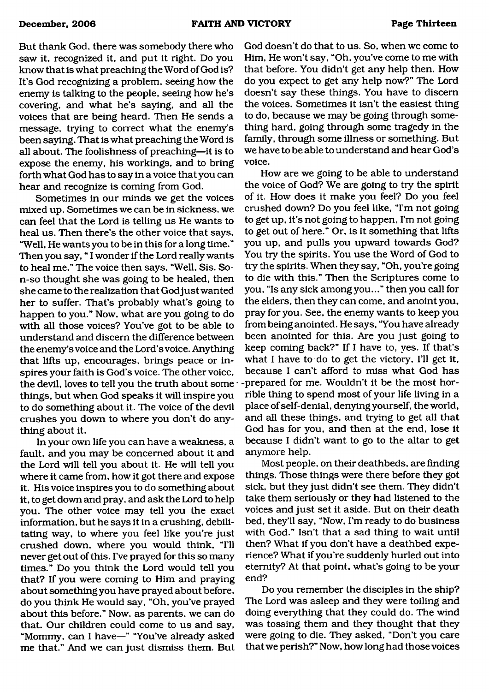But thank God, there was somebody there who saw it, recognized it, and put it right. Do you know that is what preaching the Word of God is? It's God recognizing a problem, seeing how the enemy is talking to the people, seeing how he's covering, and what he's saying, and all the voices that are being heard. Then He sends a message, trying to correct what the enemy's been saying. That is what preaching the Word is all about. The foolishness of preaching—it is to expose the enemy, his workings, and to bring forth what God has to say in a voice that you can hear and recognize is coming from God.

Sometimes in our minds we get the voices mixed up. Sometimes we can be in sickness, we can feel that the Lord is telling us He wants to heal us. Then there's the other voice that says, "Well, He wants you to be in this for a long time." Then you say, " I wonder if the Lord really wants to heal me." The voice then says, "Well, Sis. Son-so thought she was going to be healed, then she came to the realization that God just wanted her to suffer. That's probably what's going to happen to you." Now, what are you going to do with all those voices? You've got to be able to understand and discern the difference between the enemy's voice and the Lord's voice. Anything that lifts up, encourages, brings peace or inspires your faith is God's voice. The other voice, the devil, loves to tell you the truth about some things, but when God speaks it will inspire you to do something about it. The voice of the devil crushes you down to where you don't do anything about it.

In your own life you can have a weakness, a fault, and you may be concerned about it and the Lord will tell you about it. He will tell you where it came from, how it got there and expose it. His voice inspires you to do something about it, to get down and pray, and ask the Lord to help you. The other voice may tell you the exact information, but he says it in a crushing, debilitating way, to where you feel like you're just crushed down, where you would think, "I'll never get out of this. I've prayed for this so many times." Do you think the Lord would tell you that? If you were coming to Him and praying about something you have prayed about before, do you think He would say, "Oh, you've prayed about this before." Now, as parents, we can do that. Our children could come to us and say, "Mommy, can I have—" "You've already asked me that." And we can just dismiss them. But

God doesn't do that to us. So, when we come to Him, He won't say, "Oh, you've come to me with that before. You didn't get any help then. How do you expect to get any help now?" The Lord doesn't say these things. You have to discern the voices. Sometimes it isn't the easiest thing to do, because we may be going through something hard, going through some tragedy in the family, through some illness or something. But we have to be able to understand and hear God's voice.

How are we going to be able to understand the voice of God? We are going to try the spirit of it. How does it make you feel? Do you feel crushed down? Do you feel like, "I'm not going to get up, it's not going to happen. I'm not going to get out of here." Or, is it something that lifts you up, and pulls you upward towards God? You try the spirits. You use the Word of God to try the spirits. When they say, "Oh, you're going to die with this." Then the Scriptures come to you, "Is any sick among you..." then you call for the elders, then they can come, and anoint you, pray for you. See, the enemy wants to keep you from being anointed. He says, "You have already been anointed for this. Are you just going to keep coming back?" If I have to, yes. If that's what I have to do to get the victory, I'll get it, because I can't afford to miss what God has -prepared for me. Wouldn't it be the most horrible thing to spend most of your life living in a place of self-denial, denying yourself, the world, and all these things, and trying to get all that God has for you, and then at the end, lose it because I didn't want to go to the altar to get anymore help.

Most people, on their deathbeds, are finding things. Those things were there before they got sick, but they just didn't see them. They didn't take them seriously or they had listened to the voices and just set it aside. But on their death bed, they'll say, "Now, I'm ready to do business with God." Isn't that a sad thing to wait until then? What if you don't have a deathbed experience? What if you're suddenly hurled out into eternity? At that point, what's going to be your end?

Do you remember the disciples in the ship? The Lord was asleep and they were toiling and doing everything that they could do. The wind was tossing them and they thought that they were going to die. They asked, "Don't you care that we perish?" Now, how long had those voices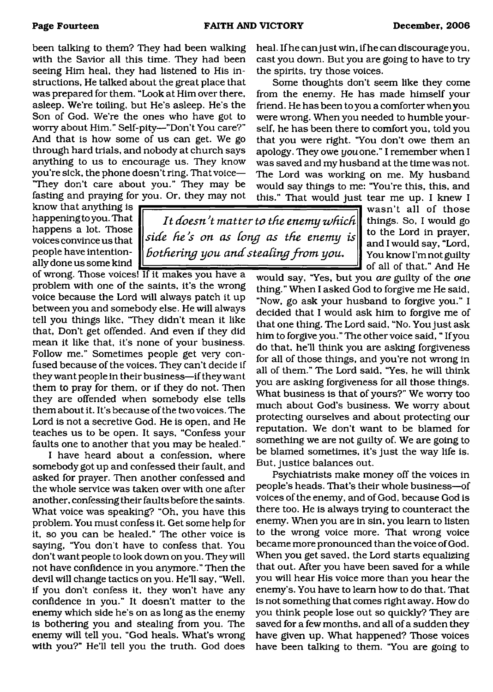been talking to them? They had been walking with the Savior all this time. They had been seeing Him heal, they had listened to His instructions, He talked about the great place that was prepared for them. "Look at Him over there, asleep. We're toiling, but He's asleep. He's the Son of God. We're the ones who have got to worry about Him." Self-pity—''Don't You care?" And that is how some of us can get. We go through hard trials, and nobody at church says anything to us to encourage us. They know you're sick, the phone doesn't ring. That voice— ''They don't care about you." They may be fasting and praying for you. Or, they may not

know that anything is happening to you. That happens a lot. Those voices convince us that people have intentionally done us some kind

*It doesn't matter to the enemy which side he's on as long as the enemy is bothering you and stealing from you.* 

of wrong. Those voices! If it makes you have a problem with one of the saints, it's the wrong voice because the Lord will always patch it up between you and somebody else. He will always tell you things like, "They didn't mean it like that, Don't get offended. And even if they did mean it like that, it's none of your business. Follow me." Sometimes people get very confused because of the voices. They can't decide if they want people in their business—if they want them to pray for them, or if they do not. Then they are offended when somebody else tells them about it. It's because of the two voices. The Lord is not a secretive God. He is open, and He teaches us to be open. It says, "Confess your faults one to another that you may be healed."

I have heard about a confession, where somebody got up and confessed their fault, and asked for prayer. Then another confessed and the whole service was taken over with one after another, confessing their faults before the saints. What voice was speaking? "Oh, you have this problem. You must confess it. Get some help for it, so you can be healed." The other voice is saying, "You don't have to confess that. You don't want people to look down on you. They will not have confidence in you anymore." Then the devil will change tactics on you. He'll say, "Well, if you don't confess it, they won't have any confidence in you." It doesn't matter to the enemy which side he's on as long as the enemy is bothering you and stealing from you. The enemy will tell you, "God heals. What's wrong with you?" He'll tell you the truth. God does

heal. If he can just win, if he can discourage you, cast you down. But you are going to have to try the spirits, try those voices.

Some thoughts don't seem like they come from the enemy. He has made himself your friend. He has been to you a comforter when you were wrong. When you needed to humble yourself, he has been there to comfort you, told you that you were right. "You don't owe them an apology. They owe *you* one." I remember when I was saved and my husband at the time was not. The Lord was working on me. My husband would say things to me: "You're this, this, and this." That would just tear me up. I knew I

wasn't all of those things. So, I would go to the Lord in prayer, and I would say, "Lord, You know I'm not guilty of all of that." And He

would say, "Yes, but you *are* guilty of the *one* thing." When I asked God to forgive me He said, "Now, go ask your husband to forgive you." I decided that I would ask him to forgive me of that one thing. The Lord said, "No. You just ask him to forgive you." The other voice said, " If you do that, he'll think you are asking forgiveness for all of those things, and you're not wrong in all of them." The Lord said, "Yes, he will think you are asking forgiveness for all those things. What business is that of yours?" We worry too much about God's business. We worry about protecting ourselves and about protecting our reputation. We don't want to be blamed for something we are not guilty of. We are going to be blamed sometimes, it's just the way life is. But, justice balances out.

Psychiatrists make money off the voices in people's heads. That's their whole business—of voices of the enemy, and of God, because God is there too. He is always trying to counteract the enemy. When you are in sin, you learn to listen to the wrong voice more. That wrong voice became more pronounced than the voice of God. When you get saved, the Lord starts equalizing that out. After you have been saved for a while you will hear His voice more than you hear the enemy's. You have to learn how to do that. That is not something that comes right away. How do you think people lose out so quickly? They are saved for a few months, and all of a sudden they have given up. What happened? Those voices have been talking to them. "You are going to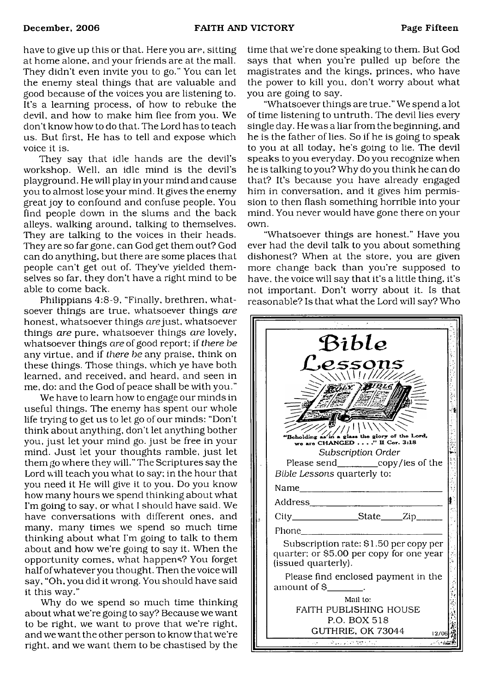have to give up this or that. Here you are, sitting at home alone, and your friends are at the mall. They didn't even invite you to go." You can let the enemy steal things that are valuable and good because of the voices you are listening to. It's a learning process, of how to rebuke the devil, and how to make him flee from you. We don't know how to do that. The Lord has to teach us. But first, He has to tell and expose which voice it is.

They say that idle hands are the devil's workshop. Well, an idle mind is the devil's playground. He will play in your mind and cause you to almost lose your mind. It gives the enemy great joy to confound and confuse people. You find people down in the slums and the back alleys, walking around, talking to themselves. They are talking to the voices in their heads. They are so far gone, can God get them out? God can do anything, but there are some places that people can't get out of. They've yielded themselves so far, they don't have a right mind to be able to come back.

Philippians 4:8-9, "Finally, brethren, whatsoever things are true, whatsoever things *are* honest, whatsoever things are just, whatsoever things *are* pure, whatsoever things *are* lovely, whatsoever things *are* of good report; if *there he* any virtue, and if *there be* any praise, think on these things. Those things, which ye have both learned, and received, and heard, and seen in me, do: and the God of peace shall be with you."

We have to learn how to engage our minds in useful things. The enemy has spent our whole life trying to get us to let go of our minds: "Don't think about anything, don't let anything bother you, just let your mind go. just be free in your mind. Just let your thoughts ramble, just let them go where they will." The Scriptures say the Lord will teach you what to say; in the hour that you need it He will give it to you. Do you know how many hours we spend thinking about what I'm going to say, or what I should have said. We have conversations with different ones, and many, many times we spend so much time thinking about what I'm going to talk to them about and how we're going to say it. When the opportunity comes, what happens? You forget half of whatever you thought. Then the voice will say, "Oh, you did it wrong. You should have said it this way."

Why do we spend so much time thinking about what we're going to say? Because we want to be right, we want to prove that we're right, and we want the other person to know that we're right, and we want them to be chastised by the

time that we're done speaking to them. But God says that when you're pulled up before the magistrates and the kings, princes, who have the power to kill you, don't worry about what you are going to say.

"Whatsoever things are true." We spend a lot of time listening to untruth. The devil lies every single day. He was a liar from the beginning, and he is the father of lies. So if he is going to speak to you at all today, he's going to lie. The devil speaks to you everyday. Do you recognize when he is talking to you? Why do you think he can do that? It's because you have already engaged him in conversation, and it gives him permission to then flash something horrible into your mind. You never would have gone there on your own.

"Whatsoever things are honest." Have you ever had the devil talk to you about something dishonest? When at the store, you are given more change back than you're supposed to have, the voice will say that it's a little thing, it's not important. Don't worry about it. Is that reasonable? Is that what the Lord will say? Who

| Bible                                                                                                                                                                                                                           |
|---------------------------------------------------------------------------------------------------------------------------------------------------------------------------------------------------------------------------------|
| essons<br>WWW                                                                                                                                                                                                                   |
|                                                                                                                                                                                                                                 |
|                                                                                                                                                                                                                                 |
| sholding $a_2$ in a glass the glory of the Lord,<br>we are CHANGED" II Cor. 3:18<br>"Beholding as<br>Subscription Order                                                                                                         |
| Please send___________copy/ies of the<br>Bible Lessons quarterly to:                                                                                                                                                            |
| Name                                                                                                                                                                                                                            |
|                                                                                                                                                                                                                                 |
| City_____________________State______Zip_______                                                                                                                                                                                  |
| Phone the control of the control of the control of the control of the control of the control of the control of the control of the control of the control of the control of the control of the control of the control of the con |
| Subscription rate: \$1.50 per copy per<br>quarter; or \$5.00 per copy for one year<br>(issued quarterly).                                                                                                                       |
| Please find enclosed payment in the<br>amount of \$                                                                                                                                                                             |
| Mail to:<br><b>FAITH PUBLISHING HOUSE</b><br>P.O. BOX 518                                                                                                                                                                       |
| GUTHRIE, OK 73044<br>12/06<br><b>Constitution Resident</b>                                                                                                                                                                      |